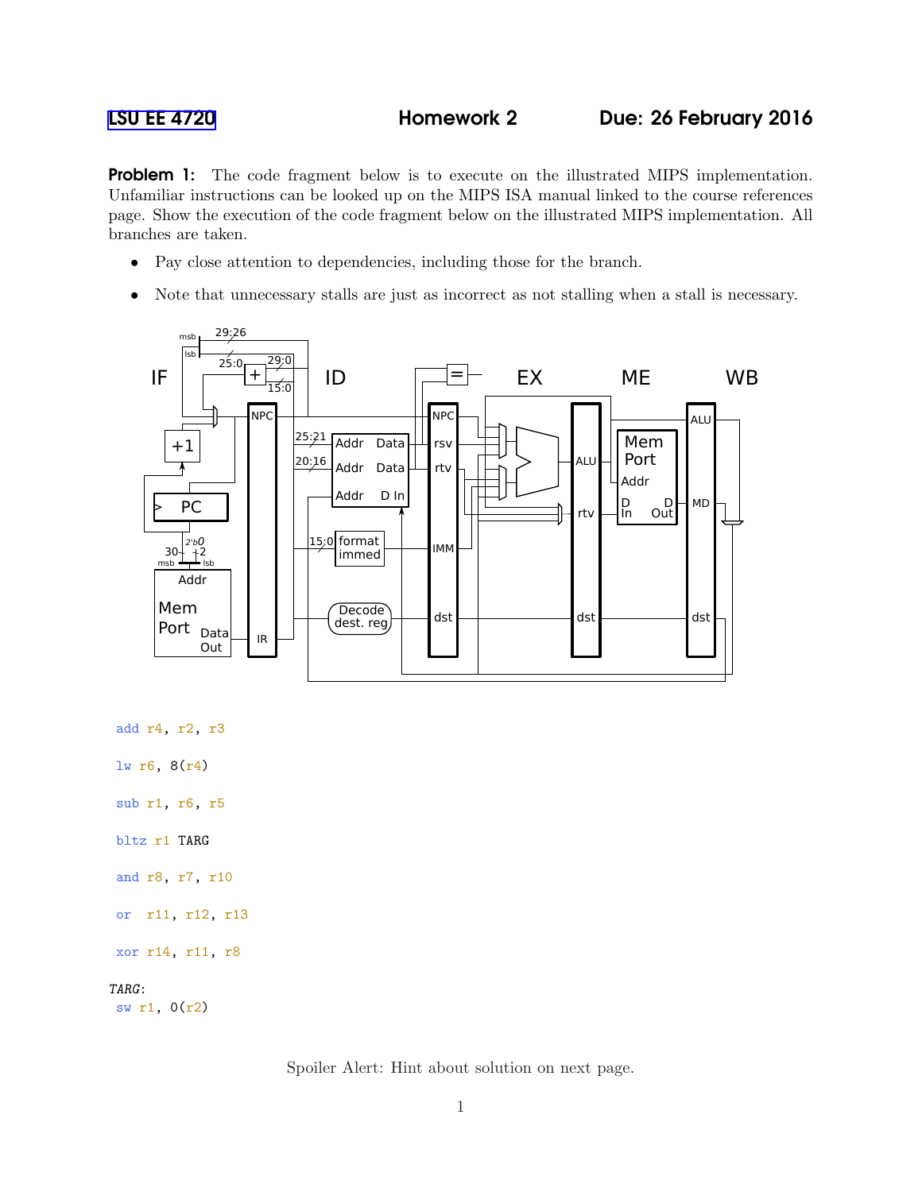**Problem 1:** The code fragment below is to execute on the illustrated MIPS implementation. Unfamiliar instructions can be looked up on the MIPS ISA manual linked to the course references page. Show the execution of the code fragment below on the illustrated MIPS implementation. All branches are taken.

- Pay close attention to dependencies, including those for the branch.
- Note that unnecessary stalls are just as incorrect as not stalling when a stall is necessary.



add r4, r2, r3

lw r6, 8(r4)

sub r1, r6, r5

bltz r1 TARG

and r8, r7, r10

or r11, r12, r13

xor r14, r11, r8

## TARG:

sw r1, 0(r2)

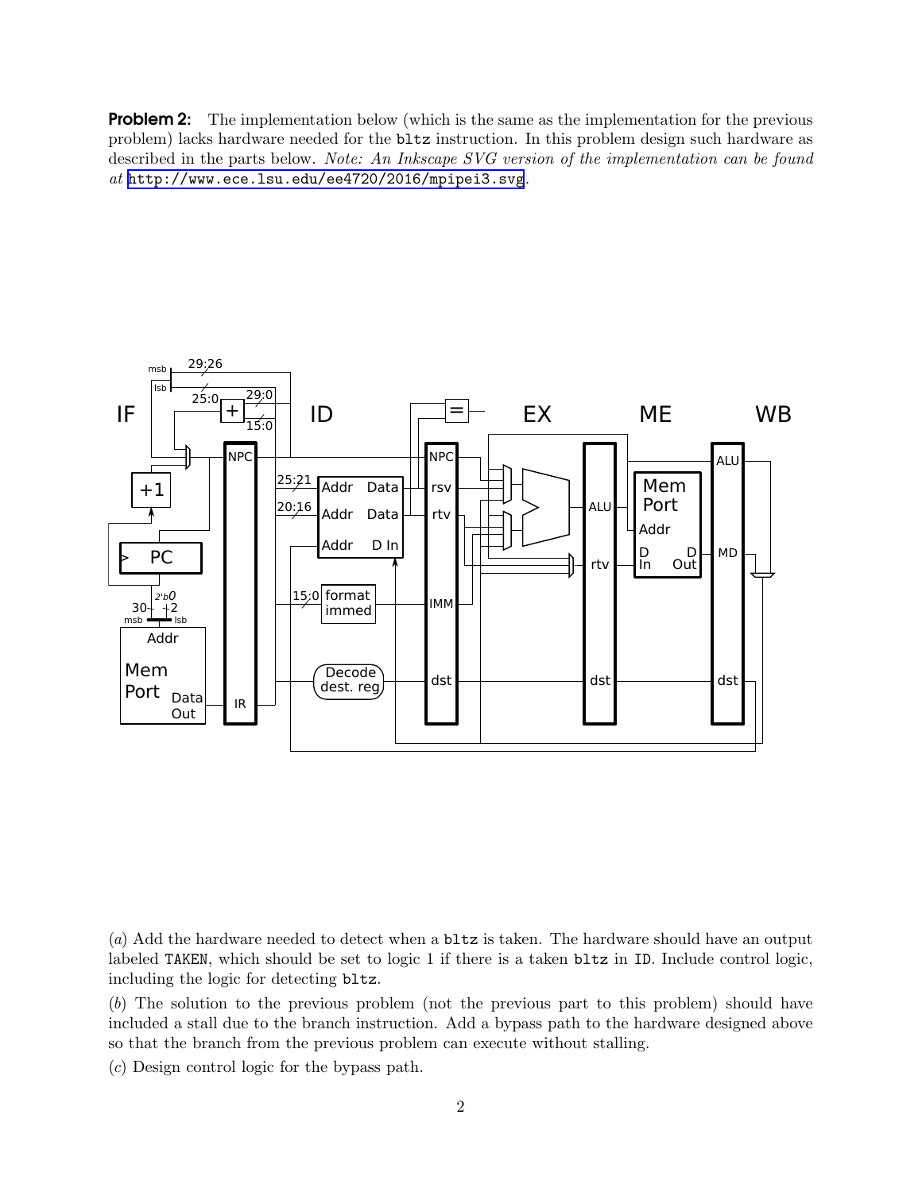**Problem 2:** The implementation below (which is the same as the implementation for the previous problem) lacks hardware needed for the bltz instruction. In this problem design such hardware as described in the parts below. *Note: An Inkscape SVG version of the implementation can be found at* <http://www.ece.lsu.edu/ee4720/2016/mpipei3.svg>*.*



(*a*) Add the hardware needed to detect when a bltz is taken. The hardware should have an output labeled TAKEN, which should be set to logic 1 if there is a taken bltz in ID. Include control logic, including the logic for detecting bltz.

(*b*) The solution to the previous problem (not the previous part to this problem) should have included a stall due to the branch instruction. Add a bypass path to the hardware designed above so that the branch from the previous problem can execute without stalling.

(*c*) Design control logic for the bypass path.